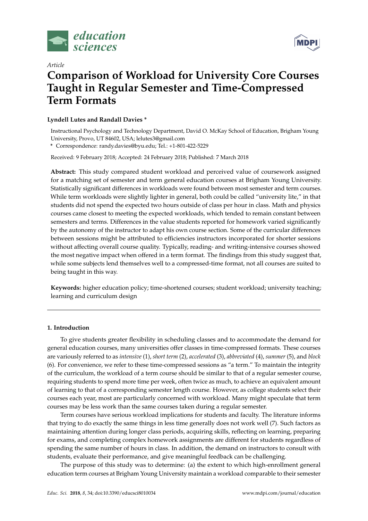

*Article*



# **Comparison of Workload for University Core Courses Taught in Regular Semester and Time-Compressed Term Formats**

## **Lyndell Lutes and Randall Davies \***

Instructional Psychology and Technology Department, David O. McKay School of Education, Brigham Young University, Provo, UT 84602, USA; lelutes3@gmail.com

**\*** Correspondence: randy.davies@byu.edu; Tel.: +1-801-422-5229

Received: 9 February 2018; Accepted: 24 February 2018; Published: 7 March 2018

**Abstract:** This study compared student workload and perceived value of coursework assigned for a matching set of semester and term general education courses at Brigham Young University. Statistically significant differences in workloads were found between most semester and term courses. While term workloads were slightly lighter in general, both could be called "university lite," in that students did not spend the expected two hours outside of class per hour in class. Math and physics courses came closest to meeting the expected workloads, which tended to remain constant between semesters and terms. Differences in the value students reported for homework varied significantly by the autonomy of the instructor to adapt his own course section. Some of the curricular differences between sessions might be attributed to efficiencies instructors incorporated for shorter sessions without affecting overall course quality. Typically, reading- and writing-intensive courses showed the most negative impact when offered in a term format. The findings from this study suggest that, while some subjects lend themselves well to a compressed-time format, not all courses are suited to being taught in this way.

**Keywords:** higher education policy; time-shortened courses; student workload; university teaching; learning and curriculum design

## **1. Introduction**

To give students greater flexibility in scheduling classes and to accommodate the demand for general education courses, many universities offer classes in time-compressed formats. These courses are variously referred to as *intensive* (1), *short term* (2), *accelerated* (3), *abbreviated* (4), *summer* (5), and *block* (6). For convenience, we refer to these time-compressed sessions as "a term." To maintain the integrity of the curriculum, the workload of a term course should be similar to that of a regular semester course, requiring students to spend more time per week, often twice as much, to achieve an equivalent amount of learning to that of a corresponding semester length course. However, as college students select their courses each year, most are particularly concerned with workload. Many might speculate that term courses may be less work than the same courses taken during a regular semester.

Term courses have serious workload implications for students and faculty. The literature informs that trying to do exactly the same things in less time generally does not work well (7). Such factors as maintaining attention during longer class periods, acquiring skills, reflecting on learning, preparing for exams, and completing complex homework assignments are different for students regardless of spending the same number of hours in class. In addition, the demand on instructors to consult with students, evaluate their performance, and give meaningful feedback can be challenging.

The purpose of this study was to determine: (a) the extent to which high-enrollment general education term courses at Brigham Young University maintain a workload comparable to their semester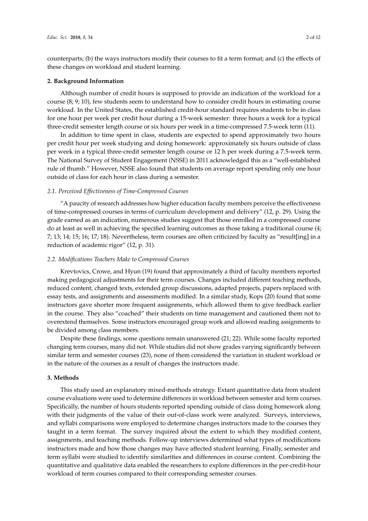counterparts; (b) the ways instructors modify their courses to fit a term format; and (c) the effects of these changes on workload and student learning.

#### **2. Background Information**

Although number of credit hours is supposed to provide an indication of the workload for a course (8; 9; 10), few students seem to understand how to consider credit hours in estimating course workload. In the United States, the established credit-hour standard requires students to be in class for one hour per week per credit hour during a 15-week semester: three hours a week for a typical three-credit semester length course or six hours per week in a time-compressed 7.5-week term (11).

In addition to time spent in class, students are expected to spend approximately two hours per credit hour per week studying and doing homework: approximately six hours outside of class per week in a typical three-credit semester length course or 12 h per week during a 7.5-week term. The National Survey of Student Engagement (NSSE) in 2011 acknowledged this as a "well-established rule of thumb." However, NSSE also found that students on average report spending only one hour outside of class for each hour in class during a semester.

#### *2.1. Perceived Effectiveness of Time-Compressed Courses*

"A paucity of research addresses how higher education faculty members perceive the effectiveness of time-compressed courses in terms of curriculum development and delivery" (12, p. 29). Using the grade earned as an indication, numerous studies suggest that those enrolled in a compressed course do at least as well in achieving the specified learning outcomes as those taking a traditional course (4; 7; 13; 14; 15; 16; 17; 18). Nevertheless, term courses are often criticized by faculty as "result[ing] in a reduction of academic rigor" (12, p. 31).

#### *2.2. Modifications Teachers Make to Compressed Courses*

Krevtovics, Crowe, and Hyun (19) found that approximately a third of faculty members reported making pedagogical adjustments for their term courses. Changes included different teaching methods, reduced content, changed texts, extended group discussions, adapted projects, papers replaced with essay tests, and assignments and assessments modified. In a similar study, Kops (20) found that some instructors gave shorter more frequent assignments, which allowed them to give feedback earlier in the course. They also "coached" their students on time management and cautioned them not to overextend themselves. Some instructors encouraged group work and allowed reading assignments to be divided among class members.

Despite these findings, some questions remain unanswered (21; 22). While some faculty reported changing term courses, many did not. While studies did not show grades varying significantly between similar term and semester courses (23), none of them considered the variation in student workload or in the nature of the courses as a result of changes the instructors made.

## **3. Methods**

This study used an explanatory mixed-methods strategy. Extant quantitative data from student course evaluations were used to determine differences in workload between semester and term courses. Specifically, the number of hours students reported spending outside of class doing homework along with their judgments of the value of their out-of-class work were analyzed. Surveys, interviews, and syllabi comparisons were employed to determine changes instructors made to the courses they taught in a term format. The survey inquired about the extent to which they modified content, assignments, and teaching methods. Follow-up interviews determined what types of modifications instructors made and how those changes may have affected student learning. Finally, semester and term syllabi were studied to identify similarities and differences in course content. Combining the quantitative and qualitative data enabled the researchers to explore differences in the per-credit-hour workload of term courses compared to their corresponding semester courses.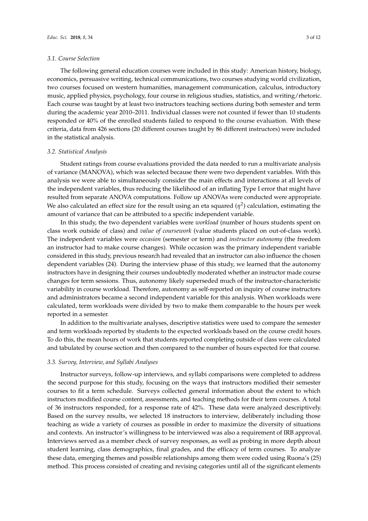#### *3.1. Course Selection*

The following general education courses were included in this study: American history, biology, economics, persuasive writing, technical communications, two courses studying world civilization, two courses focused on western humanities, management communication, calculus, introductory music, applied physics, psychology, four course in religious studies, statistics, and writing/rhetoric. Each course was taught by at least two instructors teaching sections during both semester and term during the academic year 2010–2011. Individual classes were not counted if fewer than 10 students responded or 40% of the enrolled students failed to respond to the course evaluation. With these criteria, data from 426 sections (20 different courses taught by 86 different instructors) were included in the statistical analysis.

#### *3.2. Statistical Analysis*

Student ratings from course evaluations provided the data needed to run a multivariate analysis of variance (MANOVA), which was selected because there were two dependent variables. With this analysis we were able to simultaneously consider the main effects and interactions at all levels of the independent variables, thus reducing the likelihood of an inflating Type I error that might have resulted from separate ANOVA computations. Follow up ANOVAs were conducted were appropriate. We also calculated an effect size for the result using an eta squared  $(\eta^2)$  calculation, estimating the amount of variance that can be attributed to a specific independent variable.

In this study, the two dependent variables were *workload* (number of hours students spent on class work outside of class) and *value of coursework* (value students placed on out-of-class work). The independent variables were *occasion* (semester or term) and *instructor autonomy* (the freedom an instructor had to make course changes). While occasion was the primary independent variable considered in this study, previous research had revealed that an instructor can also influence the chosen dependent variables (24). During the interview phase of this study, we learned that the autonomy instructors have in designing their courses undoubtedly moderated whether an instructor made course changes for term sessions. Thus, autonomy likely superseded much of the instructor-characteristic variability in course workload. Therefore, autonomy as self-reported on inquiry of course instructors and administrators became a second independent variable for this analysis. When workloads were calculated, term workloads were divided by two to make them comparable to the hours per week reported in a semester.

In addition to the multivariate analyses, descriptive statistics were used to compare the semester and term workloads reported by students to the expected workloads based on the course credit hours. To do this, the mean hours of work that students reported completing outside of class were calculated and tabulated by course section and then compared to the number of hours expected for that course.

#### *3.3. Survey, Interview, and Syllabi Analyses*

Instructor surveys, follow-up interviews, and syllabi comparisons were completed to address the second purpose for this study, focusing on the ways that instructors modified their semester courses to fit a term schedule. Surveys collected general information about the extent to which instructors modified course content, assessments, and teaching methods for their term courses. A total of 36 instructors responded, for a response rate of 42%. These data were analyzed descriptively. Based on the survey results, we selected 18 instructors to interview, deliberately including those teaching as wide a variety of courses as possible in order to maximize the diversity of situations and contexts. An instructor's willingness to be interviewed was also a requirement of IRB approval. Interviews served as a member check of survey responses, as well as probing in more depth about student learning, class demographics, final grades, and the efficacy of term courses. To analyze these data, emerging themes and possible relationships among them were coded using Ruona's (25) method. This process consisted of creating and revising categories until all of the significant elements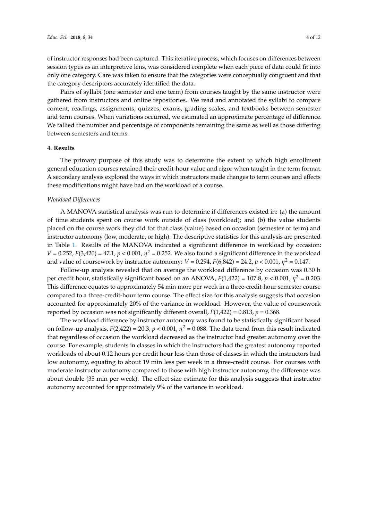of instructor responses had been captured. This iterative process, which focuses on differences between session types as an interpretive lens, was considered complete when each piece of data could fit into only one category. Care was taken to ensure that the categories were conceptually congruent and that the category descriptors accurately identified the data.

Pairs of syllabi (one semester and one term) from courses taught by the same instructor were gathered from instructors and online repositories. We read and annotated the syllabi to compare content, readings, assignments, quizzes, exams, grading scales, and textbooks between semester and term courses. When variations occurred, we estimated an approximate percentage of difference. We tallied the number and percentage of components remaining the same as well as those differing between semesters and terms.

# **4. Results**

The primary purpose of this study was to determine the extent to which high enrollment general education courses retained their credit-hour value and rigor when taught in the term format. A secondary analysis explored the ways in which instructors made changes to term courses and effects these modifications might have had on the workload of a course.

## *Workload Differences*

A MANOVA statistical analysis was run to determine if differences existed in: (a) the amount of time students spent on course work outside of class (workload); and (b) the value students placed on the course work they did for that class (value) based on occasion (semester or term) and instructor autonomy (low, moderate, or high). The descriptive statistics for this analysis are presented in Table [1.](#page-4-0) Results of the MANOVA indicated a significant difference in workload by occasion: *V* = 0.252, *F*(3,420) = 47.1, *p* < 0.001,  $\eta^2$  = 0.252. We also found a significant difference in the workload and value of coursework by instructor autonomy:  $V = 0.294$ ,  $F(6,842) = 24.2$ ,  $p < 0.001$ ,  $\eta^2 = 0.147$ .

Follow-up analysis revealed that on average the workload difference by occasion was 0.30 h per credit hour, statistically significant based on an ANOVA,  $F(1,422) = 107.8$ ,  $p < 0.001$ ,  $\eta^2 = 0.203$ . This difference equates to approximately 54 min more per week in a three-credit-hour semester course compared to a three-credit-hour term course. The effect size for this analysis suggests that occasion accounted for approximately 20% of the variance in workload. However, the value of coursework reported by occasion was not significantly different overall,  $F(1,422) = 0.813$ ,  $p = 0.368$ .

The workload difference by instructor autonomy was found to be statistically significant based on follow-up analysis,  $F(2,422) = 20.3$ ,  $p < 0.001$ ,  $\eta^2 = 0.088$ . The data trend from this result indicated that regardless of occasion the workload decreased as the instructor had greater autonomy over the course. For example, students in classes in which the instructors had the greatest autonomy reported workloads of about 0.12 hours per credit hour less than those of classes in which the instructors had low autonomy, equating to about 19 min less per week in a three-credit course. For courses with moderate instructor autonomy compared to those with high instructor autonomy, the difference was about double (35 min per week). The effect size estimate for this analysis suggests that instructor autonomy accounted for approximately 9% of the variance in workload.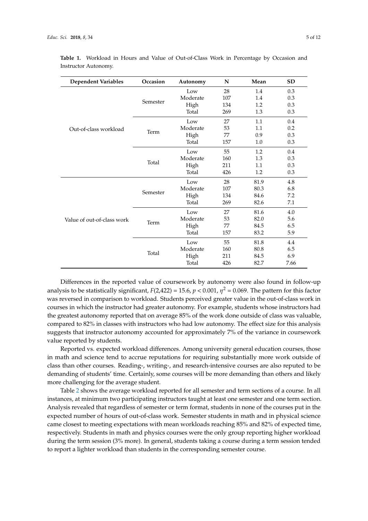| <b>Dependent Variables</b> | Occasion | Autonomy | N   | Mean | <b>SD</b> |
|----------------------------|----------|----------|-----|------|-----------|
| Out-of-class workload      | Semester | Low      | 28  | 1.4  | 0.3       |
|                            |          | Moderate | 107 | 1.4  | 0.3       |
|                            |          | High     | 134 | 1.2  | 0.3       |
|                            |          | Total    | 269 | 1.3  | 0.3       |
|                            | Term     | Low      | 27  | 1.1  | 0.4       |
|                            |          | Moderate | 53  | 1.1  | 0.2       |
|                            |          | High     | 77  | 0.9  | 0.3       |
|                            |          | Total    | 157 | 1.0  | 0.3       |
|                            | Total    | Low      | 55  | 1.2  | 0.4       |
|                            |          | Moderate | 160 | 1.3  | 0.3       |
|                            |          | High     | 211 | 1.1  | 0.3       |
|                            |          | Total    | 426 | 1.2  | 0.3       |
|                            | Semester | Low      | 28  | 81.9 | 4.8       |
|                            |          | Moderate | 107 | 80.3 | 6.8       |
|                            |          | High     | 134 | 84.6 | 7.2       |
|                            |          | Total    | 269 | 82.6 | 7.1       |
|                            | Term     | Low      | 27  | 81.6 | 4.0       |
| Value of out-of-class work |          | Moderate | 53  | 82.0 | 5.6       |
|                            |          | High     | 77  | 84.5 | 6.5       |
|                            |          | Total    | 157 | 83.2 | 5.9       |
|                            | Total    | Low      | 55  | 81.8 | 4.4       |
|                            |          | Moderate | 160 | 80.8 | 6.5       |
|                            |          | High     | 211 | 84.5 | 6.9       |
|                            |          | Total    | 426 | 82.7 | 7.66      |

<span id="page-4-0"></span>**Table 1.** Workload in Hours and Value of Out-of-Class Work in Percentage by Occasion and Instructor Autonomy.

Differences in the reported value of coursework by autonomy were also found in follow-up analysis to be statistically significant,  $F(2,422) = 15.6$ ,  $p < 0.001$ ,  $\eta^2 = 0.069$ . The pattern for this factor was reversed in comparison to workload. Students perceived greater value in the out-of-class work in courses in which the instructor had greater autonomy. For example, students whose instructors had the greatest autonomy reported that on average 85% of the work done outside of class was valuable, compared to 82% in classes with instructors who had low autonomy. The effect size for this analysis suggests that instructor autonomy accounted for approximately 7% of the variance in coursework value reported by students.

Reported vs. expected workload differences. Among university general education courses, those in math and science tend to accrue reputations for requiring substantially more work outside of class than other courses. Reading-, writing-, and research-intensive courses are also reputed to be demanding of students' time. Certainly, some courses will be more demanding than others and likely more challenging for the average student.

Table [2](#page-5-0) shows the average workload reported for all semester and term sections of a course. In all instances, at minimum two participating instructors taught at least one semester and one term section. Analysis revealed that regardless of semester or term format, students in none of the courses put in the expected number of hours of out-of-class work. Semester students in math and in physical science came closest to meeting expectations with mean workloads reaching 85% and 82% of expected time, respectively. Students in math and physics courses were the only group reporting higher workload during the term session (3% more). In general, students taking a course during a term session tended to report a lighter workload than students in the corresponding semester course.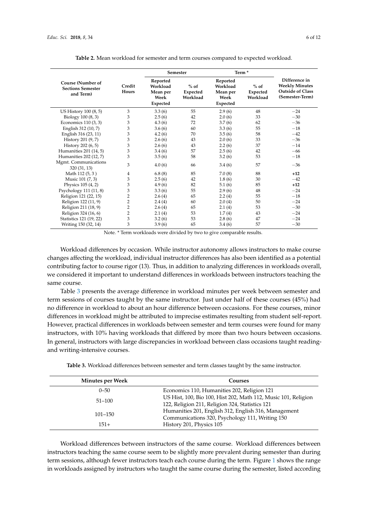Writing 150 (32, 14)

<span id="page-5-0"></span>

| <b>Course (Number of</b><br><b>Sections Semester</b><br>and Term) |                 | <b>Semester</b>                                      |                                | Term <sup>*</sup>                                    |                                |                                                                                      |
|-------------------------------------------------------------------|-----------------|------------------------------------------------------|--------------------------------|------------------------------------------------------|--------------------------------|--------------------------------------------------------------------------------------|
|                                                                   | Credit<br>Hours | Reported<br>Workload<br>Mean per<br>Week<br>Expected | $%$ of<br>Expected<br>Workload | Reported<br>Workload<br>Mean per<br>Week<br>Expected | $%$ of<br>Expected<br>Workload | Difference in<br><b>Weekly Minutes</b><br><b>Outside of Class</b><br>(Semester-Term) |
| US History 100 (8, 5)                                             | 3               | 3.3(6)                                               | 55                             | 2.9(6)                                               | 48                             | $-24$                                                                                |
| Biology 100 (8, 3)                                                | 3               | 2.5(6)                                               | 42                             | 2.0(6)                                               | 33                             | $-30$                                                                                |
| Economics 110 (3, 3)                                              | 3               | 4.3(6)                                               | 72                             | 3.7(6)                                               | 62                             | $-36$                                                                                |
| English 312 (10, 7)                                               | 3               | 3.6(6)                                               | 60                             | 3.3(6)                                               | 55                             | $-18$                                                                                |
| English 316 (23, 11)                                              | 3               | 4.2(6)                                               | 70                             | 3.5(6)                                               | 58                             | $-42$                                                                                |
| History 201 (9, 7)                                                | 3               | 2.6(6)                                               | 43                             | 2.0(6)                                               | 33                             | $-36$                                                                                |
| History 202 (6, 5)                                                | 3               | 2.6(6)                                               | 43                             | 2.2(6)                                               | 37                             | $-14$                                                                                |
| Humanities 201 (14, 5)                                            | 3               | 3.4(6)                                               | 57                             | 2.5(6)                                               | 42                             | $-66$                                                                                |
| Humanities 202 (12, 7)                                            | 3               | 3.5(6)                                               | 58                             | 3.2(6)                                               | 53                             | $-18$                                                                                |
| Mgmt. Communications<br>320 (31, 13)                              | 3               | 4.0(6)                                               | 66                             | 3.4(6)                                               | 57                             | $-36$                                                                                |
| Math 112 (5, 3)                                                   | 4               | 6.8(8)                                               | 85                             | 7.0(8)                                               | 88                             | $+12$                                                                                |
| Music 101 (7, 3)                                                  | 3               | 2.5(6)                                               | 42                             | 1.8(6)                                               | 30                             | $-42$                                                                                |
| Physics 105 (4, 2)                                                | 3               | 4.9(6)                                               | 82                             | 5.1(6)                                               | 85                             | $+12$                                                                                |
| Psychology 111 (11, 8)                                            | 3               | 3.3(6)                                               | 55                             | 2.9(6)                                               | 48                             | $-24$                                                                                |
| Religion 121 (22, 15)                                             | 2               | 2.6(4)                                               | 65                             | 2.2(4)                                               | 55                             | $-18$                                                                                |
| Religion 122 (11, 9)                                              | $\overline{2}$  | 2.4(4)                                               | 60                             | 2.0(4)                                               | 50                             | $-24$                                                                                |
| Religion 211 (18, 9)                                              | $\overline{2}$  | 2.6(4)                                               | 65                             | 2.1(4)                                               | 53                             | $-30$                                                                                |
| Religion 324 (16, 6)                                              | $\overline{2}$  | 2.1(4)                                               | 53                             | 1.7(4)                                               | 43                             | $-24$                                                                                |

**Table 2.** Mean workload for semester and term courses compared to expected workload.

Note. \* Term workloads were divided by two to give comparable results.

Religion 324 (16, 6) 2 2.1 (4) 53 1.7 (4) 43 −24<br>Statistics 121 (19, 22) 3 3.2 (6) 53 2.8 (6) 47 −24 Statistics 121 (19, 22) 3 3.2 (6) 53 2.8 (6) 47 −24<br>Writing 150 (32, 14) 3 3.9 (6) 65 3.4 (6) 57 −30

Workload differences by occasion. While instructor autonomy allows instructors to make course changes affecting the workload, individual instructor differences has also been identified as a potential contributing factor to course rigor (13). Thus, in addition to analyzing differences in workloads overall, we considered it important to understand differences in workloads between instructors teaching the same course.

Table [3](#page-5-1) presents the average difference in workload minutes per week between semester and term sessions of courses taught by the same instructor. Just under half of these courses (45%) had no difference in workload to about an hour difference between occasions. For these courses, minor differences in workload might be attributed to imprecise estimates resulting from student self-report. However, practical differences in workloads between semester and term courses were found for many instructors, with 10% having workloads that differed by more than two hours between occasions. In general, instructors with large discrepancies in workload between class occasions taught readingand writing-intensive courses.

<span id="page-5-1"></span>

| <b>Minutes per Week</b> | <b>Courses</b>                                                 |
|-------------------------|----------------------------------------------------------------|
| $0 - 50$                | Economics 110, Humanities 202, Religion 121                    |
| $51 - 100$              | US Hist, 100, Bio 100, Hist 202, Math 112, Music 101, Religion |
|                         | 122, Religion 211, Religion 324, Statistics 121                |
| $101 - 150$             | Humanities 201, English 312, English 316, Management           |
|                         | Communications 320, Psychology 111, Writing 150                |
| $151+$                  | History 201, Physics 105                                       |

**Table 3.** Workload differences between semester and term classes taught by the same instructor.

Workload differences between instructors of the same course. Workload differences between instructors teaching the same course seem to be slightly more prevalent during semester than during term sessions, although fewer instructors teach each course during the term. Figure [1](#page-6-0) shows the range in workloads assigned by instructors who taught the same course during the semester, listed according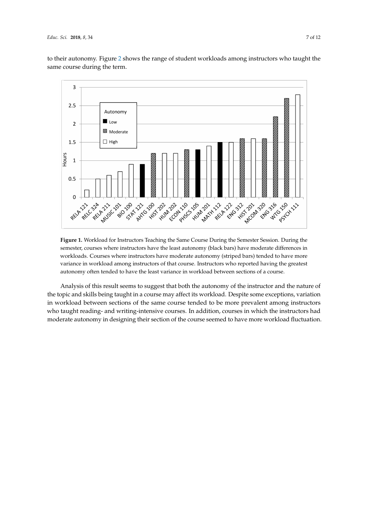<span id="page-6-0"></span>

to their autonomy. Figure [2](#page-7-0) shows the range of student workloads among instructors who taught the same course during the term.

**Figure 1.** Workload for Instructors Teaching the Same Course During the Semester Session. During the semester, courses where instructors have the least autonomy (black bars) have moderate differences in workloads. Courses where instructors have moderate autonomy (striped bars) tended to have more variance in workload among instructors of that course. Instructors who reported having the greatest autonomy often tended to have the least variance in workload between sections of a course.

Analysis of this result seems to suggest that both the autonomy of the instructor and the nature of the topic and skills being taught in a course may affect its workload. Despite some exceptions, variation in workload between sections of the same course tended to be more prevalent among instructors who taught reading- and writing-intensive courses. In addition, courses in which the instructors had moderate autonomy in designing their section of the course seemed to have more workload fluctuation.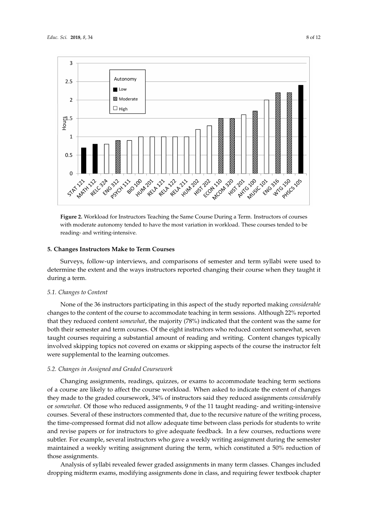<span id="page-7-0"></span>

**Figure 2.** Workload for Instructors Teaching the Same Course During a Term. Instructors of courses with moderate autonomy tended to have the most variation in workload. These courses tended to be reading- and writing-intensive.

#### **5. Changes Instructors Make to Term Courses**

Surveys, follow-up interviews, and comparisons of semester and term syllabi were used to determine the extent and the ways instructors reported changing their course when they taught it during a term.

#### *5.1. Changes to Content*

None of the 36 instructors participating in this aspect of the study reported making *considerable* changes to the content of the course to accommodate teaching in term sessions. Although 22% reported that they reduced content *somewhat*, the majority (78%) indicated that the content was the same for both their semester and term courses. Of the eight instructors who reduced content somewhat, seven taught courses requiring a substantial amount of reading and writing. Content changes typically involved skipping topics not covered on exams or skipping aspects of the course the instructor felt were supplemental to the learning outcomes.

#### *5.2. Changes in Assigned and Graded Coursework*

Changing assignments, readings, quizzes, or exams to accommodate teaching term sections of a course are likely to affect the course workload. When asked to indicate the extent of changes they made to the graded coursework, 34% of instructors said they reduced assignments *considerably* or *somewhat*. Of those who reduced assignments, 9 of the 11 taught reading- and writing-intensive courses. Several of these instructors commented that, due to the recursive nature of the writing process, the time-compressed format did not allow adequate time between class periods for students to write and revise papers or for instructors to give adequate feedback. In a few courses, reductions were subtler. For example, several instructors who gave a weekly writing assignment during the semester maintained a weekly writing assignment during the term, which constituted a 50% reduction of those assignments.

Analysis of syllabi revealed fewer graded assignments in many term classes. Changes included dropping midterm exams, modifying assignments done in class, and requiring fewer textbook chapter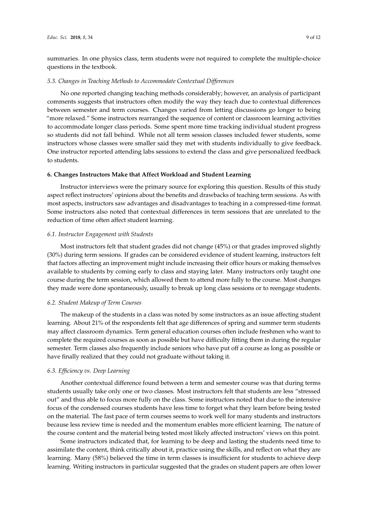summaries. In one physics class, term students were not required to complete the multiple-choice questions in the textbook.

#### *5.3. Changes in Teaching Methods to Accommodate Contextual Differences*

No one reported changing teaching methods considerably; however, an analysis of participant comments suggests that instructors often modify the way they teach due to contextual differences between semester and term courses. Changes varied from letting discussions go longer to being "more relaxed." Some instructors rearranged the sequence of content or classroom learning activities to accommodate longer class periods. Some spent more time tracking individual student progress so students did not fall behind. While not all term session classes included fewer students, some instructors whose classes were smaller said they met with students individually to give feedback. One instructor reported attending labs sessions to extend the class and give personalized feedback to students.

#### **6. Changes Instructors Make that Affect Workload and Student Learning**

Instructor interviews were the primary source for exploring this question. Results of this study aspect reflect instructors' opinions about the benefits and drawbacks of teaching term sessions. As with most aspects, instructors saw advantages and disadvantages to teaching in a compressed-time format. Some instructors also noted that contextual differences in term sessions that are unrelated to the reduction of time often affect student learning.

#### *6.1. Instructor Engagement with Students*

Most instructors felt that student grades did not change (45%) or that grades improved slightly (30%) during term sessions. If grades can be considered evidence of student learning, instructors felt that factors affecting an improvement might include increasing their office hours or making themselves available to students by coming early to class and staying later. Many instructors only taught one course during the term session, which allowed them to attend more fully to the course. Most changes they made were done spontaneously, usually to break up long class sessions or to reengage students.

#### *6.2. Student Makeup of Term Courses*

The makeup of the students in a class was noted by some instructors as an issue affecting student learning. About 21% of the respondents felt that age differences of spring and summer term students may affect classroom dynamics. Term general education courses often include freshmen who want to complete the required courses as soon as possible but have difficulty fitting them in during the regular semester. Term classes also frequently include seniors who have put off a course as long as possible or have finally realized that they could not graduate without taking it.

#### *6.3. Efficiency vs. Deep Learning*

Another contextual difference found between a term and semester course was that during terms students usually take only one or two classes. Most instructors felt that students are less "stressed out" and thus able to focus more fully on the class. Some instructors noted that due to the intensive focus of the condensed courses students have less time to forget what they learn before being tested on the material. The fast pace of term courses seems to work well for many students and instructors because less review time is needed and the momentum enables more efficient learning. The nature of the course content and the material being tested most likely affected instructors' views on this point.

Some instructors indicated that, for learning to be deep and lasting the students need time to assimilate the content, think critically about it, practice using the skills, and reflect on what they are learning. Many (58%) believed the time in term classes is insufficient for students to achieve deep learning. Writing instructors in particular suggested that the grades on student papers are often lower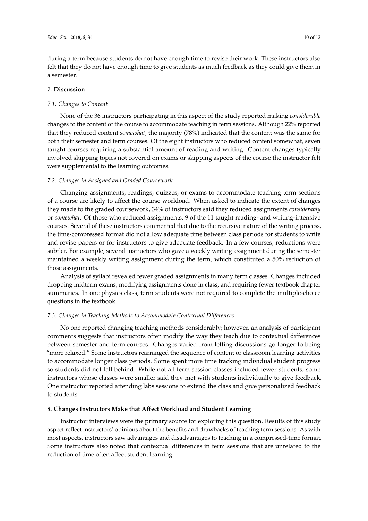during a term because students do not have enough time to revise their work. These instructors also felt that they do not have enough time to give students as much feedback as they could give them in a semester.

## **7. Discussion**

## *7.1. Changes to Content*

None of the 36 instructors participating in this aspect of the study reported making *considerable* changes to the content of the course to accommodate teaching in term sessions. Although 22% reported that they reduced content *somewhat*, the majority (78%) indicated that the content was the same for both their semester and term courses. Of the eight instructors who reduced content somewhat, seven taught courses requiring a substantial amount of reading and writing. Content changes typically involved skipping topics not covered on exams or skipping aspects of the course the instructor felt were supplemental to the learning outcomes.

## *7.2. Changes in Assigned and Graded Coursework*

Changing assignments, readings, quizzes, or exams to accommodate teaching term sections of a course are likely to affect the course workload. When asked to indicate the extent of changes they made to the graded coursework, 34% of instructors said they reduced assignments *considerably* or *somewhat*. Of those who reduced assignments, 9 of the 11 taught reading- and writing-intensive courses. Several of these instructors commented that due to the recursive nature of the writing process, the time-compressed format did not allow adequate time between class periods for students to write and revise papers or for instructors to give adequate feedback. In a few courses, reductions were subtler. For example, several instructors who gave a weekly writing assignment during the semester maintained a weekly writing assignment during the term, which constituted a 50% reduction of those assignments.

Analysis of syllabi revealed fewer graded assignments in many term classes. Changes included dropping midterm exams, modifying assignments done in class, and requiring fewer textbook chapter summaries. In one physics class, term students were not required to complete the multiple-choice questions in the textbook.

#### *7.3. Changes in Teaching Methods to Accommodate Contextual Differences*

No one reported changing teaching methods considerably; however, an analysis of participant comments suggests that instructors often modify the way they teach due to contextual differences between semester and term courses. Changes varied from letting discussions go longer to being "more relaxed." Some instructors rearranged the sequence of content or classroom learning activities to accommodate longer class periods. Some spent more time tracking individual student progress so students did not fall behind. While not all term session classes included fewer students, some instructors whose classes were smaller said they met with students individually to give feedback. One instructor reported attending labs sessions to extend the class and give personalized feedback to students.

## **8. Changes Instructors Make that Affect Workload and Student Learning**

Instructor interviews were the primary source for exploring this question. Results of this study aspect reflect instructors' opinions about the benefits and drawbacks of teaching term sessions. As with most aspects, instructors saw advantages and disadvantages to teaching in a compressed-time format. Some instructors also noted that contextual differences in term sessions that are unrelated to the reduction of time often affect student learning.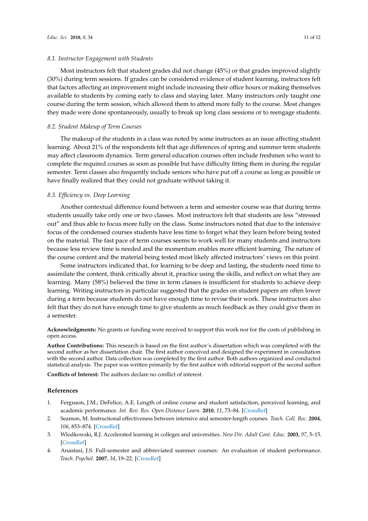Most instructors felt that student grades did not change (45%) or that grades improved slightly (30%) during term sessions. If grades can be considered evidence of student learning, instructors felt that factors affecting an improvement might include increasing their office hours or making themselves available to students by coming early to class and staying later. Many instructors only taught one course during the term session, which allowed them to attend more fully to the course. Most changes they made were done spontaneously, usually to break up long class sessions or to reengage students.

#### *8.2. Student Makeup of Term Courses*

The makeup of the students in a class was noted by some instructors as an issue affecting student learning. About 21% of the respondents felt that age differences of spring and summer term students may affect classroom dynamics. Term general education courses often include freshmen who want to complete the required courses as soon as possible but have difficulty fitting them in during the regular semester. Term classes also frequently include seniors who have put off a course as long as possible or have finally realized that they could not graduate without taking it.

## *8.3. Efficiency vs. Deep Learning*

Another contextual difference found between a term and semester course was that during terms students usually take only one or two classes. Most instructors felt that students are less "stressed out" and thus able to focus more fully on the class. Some instructors noted that due to the intensive focus of the condensed courses students have less time to forget what they learn before being tested on the material. The fast pace of term courses seems to work well for many students and instructors because less review time is needed and the momentum enables more efficient learning. The nature of the course content and the material being tested most likely affected instructors' views on this point.

Some instructors indicated that, for learning to be deep and lasting, the students need time to assimilate the content, think critically about it, practice using the skills, and reflect on what they are learning. Many (58%) believed the time in term classes is insufficient for students to achieve deep learning. Writing instructors in particular suggested that the grades on student papers are often lower during a term because students do not have enough time to revise their work. These instructors also felt that they do not have enough time to give students as much feedback as they could give them in a semester.

**Acknowledgments:** No grants or funding were received to support this work nor for the costs of publishing in open access.

**Author Contributions:** This research is based on the first author's dissertation which was completed with the second author as her dissertation chair. The first author conceived and designed the experiment in consultation with the second author. Data collection was completed by the first author. Both authors organized and conducted statistical analysis. The paper was written primarily by the first author with editorial support of the second author.

**Conflicts of Interest:** The authors declare no conflict of interest.

#### **References**

- 1. Ferguson, J.M.; DeFelice, A.E. Length of online course and student satisfaction, perceived learning, and academic performance. *Int. Rev. Res. Open Distance Learn.* **2010**, *11*, 73–84. [\[CrossRef\]](http://dx.doi.org/10.19173/irrodl.v11i2.772)
- 2. Seamon, M. Instructional effectiveness between intensive and semester-length courses. *Teach. Coll. Rec.* **2004**, *106*, 853–874. [\[CrossRef\]](http://dx.doi.org/10.1111/j.1467-9620.2004.00360.x)
- 3. Wlodkowski, R.J. Accelerated learning in colleges and universities. *New Dir. Adult Cont. Educ.* **2003**, *97*, 5–15. [\[CrossRef\]](http://dx.doi.org/10.1002/ace.84)
- 4. Anastasi, J.S. Full-semester and abbreviated summer courses: An evaluation of student performance. *Teach. Psychol.* **2007**, *34*, 19–22. [\[CrossRef\]](http://dx.doi.org/10.1177/009862830703400103)